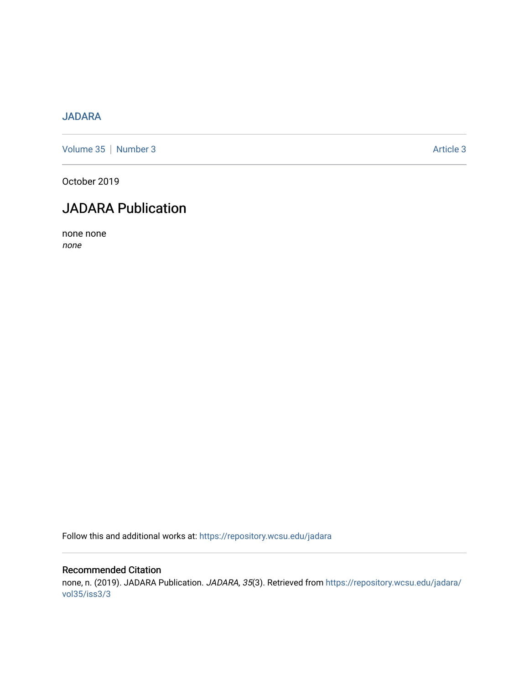## [JADARA](https://repository.wcsu.edu/jadara)

[Volume 35](https://repository.wcsu.edu/jadara/vol35) | [Number 3](https://repository.wcsu.edu/jadara/vol35/iss3) Article 3

October 2019

# JADARA Publication

none none none

Follow this and additional works at: [https://repository.wcsu.edu/jadara](https://repository.wcsu.edu/jadara?utm_source=repository.wcsu.edu%2Fjadara%2Fvol35%2Fiss3%2F3&utm_medium=PDF&utm_campaign=PDFCoverPages)

### Recommended Citation none, n. (2019). JADARA Publication. JADARA, 35(3). Retrieved from [https://repository.wcsu.edu/jadara/](https://repository.wcsu.edu/jadara/vol35/iss3/3?utm_source=repository.wcsu.edu%2Fjadara%2Fvol35%2Fiss3%2F3&utm_medium=PDF&utm_campaign=PDFCoverPages) [vol35/iss3/3](https://repository.wcsu.edu/jadara/vol35/iss3/3?utm_source=repository.wcsu.edu%2Fjadara%2Fvol35%2Fiss3%2F3&utm_medium=PDF&utm_campaign=PDFCoverPages)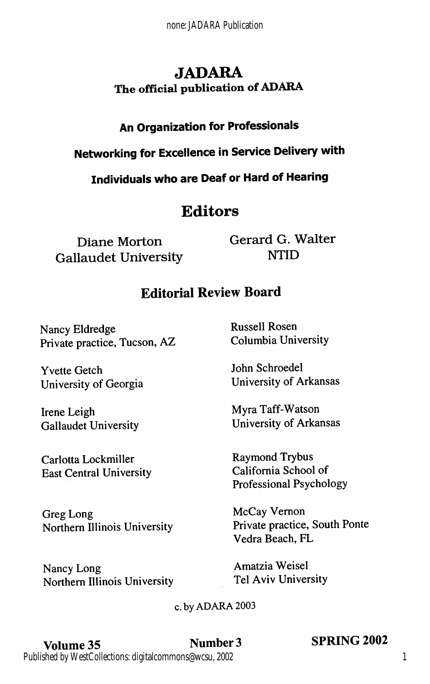## JADARA The official publication of ADARA

## An Organization for Professionals

Networking for Excellence in Service Delivery with

Individuals who are Deaf or Hard of Hearing

## **Editors**

Diane Morton Gallaudet University Gerard G. Walter NTID

## Editorial Review Board

Nancy Eldredge Private practice, Tucson, AZ

Yvette Getch University of Georgia

Irene Leigh Gallaudet University

Carlotta Lockmiller East Central University

Greg Long Northern Illinois University

Nancy Long Northern Illinois University Russell Rosen Columbia University

John Schroedel University of Arkansas

Myra Taff-Watson University of Arkansas

Raymond Trybus California School of Professional Psychology

McCay Vemon Private practice. South Ponte Vedra Beach, PL

Amatzia Weisel Tel Aviv University

#### c. by ADARA 2003

Volume 35 Number 3 SPRING 2002 Published by WestCollections: digitalcommons@wcsu, 2002